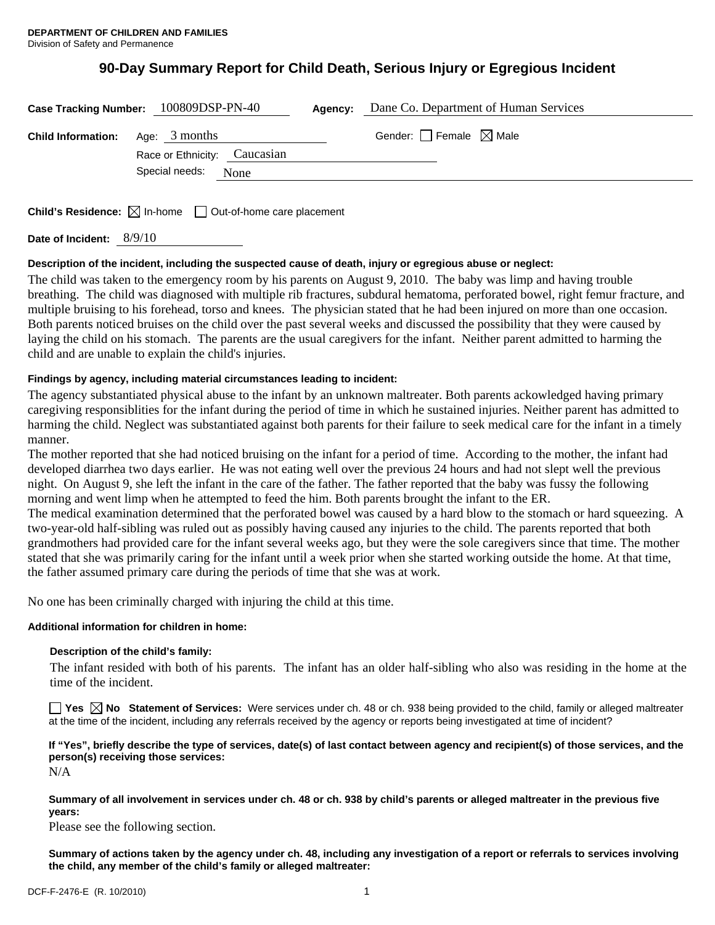# **90-Day Summary Report for Child Death, Serious Injury or Egregious Incident**

|                           | Case Tracking Number: 100809DSP-PN-40                                           | Agency: | Dane Co. Department of Human Services |
|---------------------------|---------------------------------------------------------------------------------|---------|---------------------------------------|
| <b>Child Information:</b> | Age: $3$ months                                                                 |         | Gender: Female $\boxtimes$ Male       |
|                           | Race or Ethnicity: Caucasian<br>Special needs: None                             |         |                                       |
|                           | <b>Child's Residence:</b> $\boxtimes$ In-home $\Box$ Out-of-home care placement |         |                                       |

**Date of Incident:** 8/9/10

#### **Description of the incident, including the suspected cause of death, injury or egregious abuse or neglect:**

The child was taken to the emergency room by his parents on August 9, 2010. The baby was limp and having trouble breathing. The child was diagnosed with multiple rib fractures, subdural hematoma, perforated bowel, right femur fracture, and multiple bruising to his forehead, torso and knees. The physician stated that he had been injured on more than one occasion. Both parents noticed bruises on the child over the past several weeks and discussed the possibility that they were caused by laying the child on his stomach. The parents are the usual caregivers for the infant. Neither parent admitted to harming the child and are unable to explain the child's injuries.

#### **Findings by agency, including material circumstances leading to incident:**

The agency substantiated physical abuse to the infant by an unknown maltreater. Both parents ackowledged having primary caregiving responsiblities for the infant during the period of time in which he sustained injuries. Neither parent has admitted to harming the child. Neglect was substantiated against both parents for their failure to seek medical care for the infant in a timely manner.

The mother reported that she had noticed bruising on the infant for a period of time. According to the mother, the infant had developed diarrhea two days earlier. He was not eating well over the previous 24 hours and had not slept well the previous night. On August 9, she left the infant in the care of the father. The father reported that the baby was fussy the following morning and went limp when he attempted to feed the him. Both parents brought the infant to the ER.

The medical examination determined that the perforated bowel was caused by a hard blow to the stomach or hard squeezing. A two-year-old half-sibling was ruled out as possibly having caused any injuries to the child. The parents reported that both grandmothers had provided care for the infant several weeks ago, but they were the sole caregivers since that time. The mother stated that she was primarily caring for the infant until a week prior when she started working outside the home. At that time, the father assumed primary care during the periods of time that she was at work.

No one has been criminally charged with injuring the child at this time.

#### **Additional information for children in home:**

#### **Description of the child's family:**

 The infant resided with both of his parents. The infant has an older half-sibling who also was residing in the home at the time of the incident.

■ Yes **No** Statement of Services: Were services under ch. 48 or ch. 938 being provided to the child, family or alleged maltreater at the time of the incident, including any referrals received by the agency or reports being investigated at time of incident?

## **If "Yes", briefly describe the type of services, date(s) of last contact between agency and recipient(s) of those services, and the person(s) receiving those services:**

N/A

**Summary of all involvement in services under ch. 48 or ch. 938 by child's parents or alleged maltreater in the previous five years:** 

Please see the following section.

**Summary of actions taken by the agency under ch. 48, including any investigation of a report or referrals to services involving the child, any member of the child's family or alleged maltreater:**